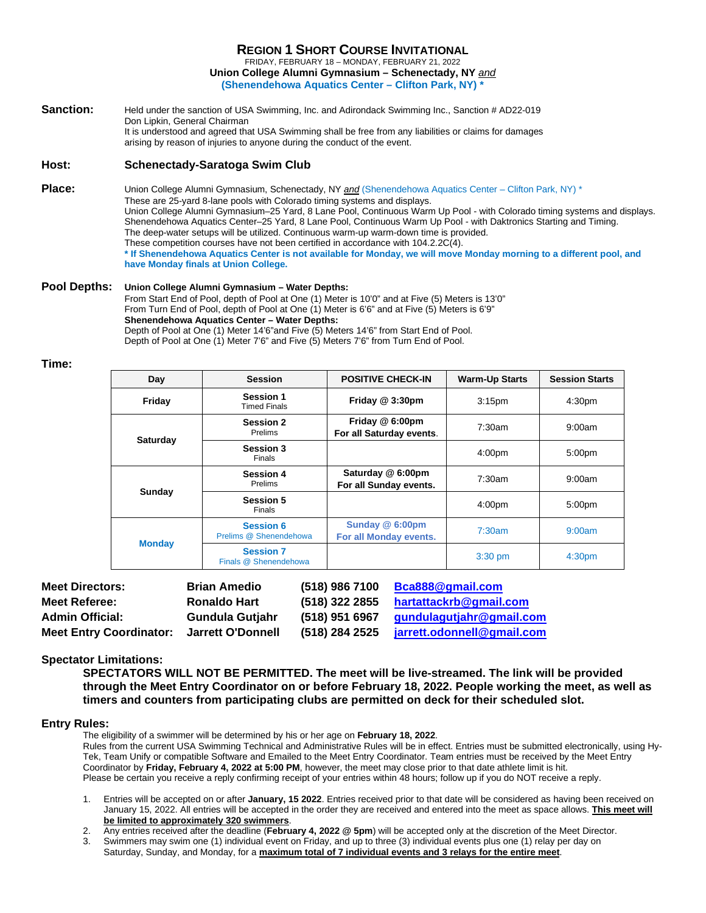FRIDAY, FEBRUARY 18 – MONDAY, FEBRUARY 21, 2022 **Union College Alumni Gymnasium – Schenectady, NY** *and*

**(Shenendehowa Aquatics Center – Clifton Park, NY) \***

**Sanction:** Held under the sanction of USA Swimming, Inc. and Adirondack Swimming Inc., Sanction # AD22-019 Don Lipkin, General Chairman It is understood and agreed that USA Swimming shall be free from any liabilities or claims for damages arising by reason of injuries to anyone during the conduct of the event.

### **Host: Schenectady-Saratoga Swim Club**

**Place:** Union College Alumni Gymnasium, Schenectady, NY *and* (Shenendehowa Aquatics Center – Clifton Park, NY) \* These are 25-yard 8-lane pools with Colorado timing systems and displays. Union College Alumni Gymnasium–25 Yard, 8 Lane Pool, Continuous Warm Up Pool - with Colorado timing systems and displays. Shenendehowa Aquatics Center–25 Yard, 8 Lane Pool, Continuous Warm Up Pool - with Daktronics Starting and Timing. The deep-water setups will be utilized. Continuous warm-up warm-down time is provided. These competition courses have not been certified in accordance with 104.2.2C(4). **\* If Shenendehowa Aquatics Center is not available for Monday, we will move Monday morning to a different pool, and have Monday finals at Union College.**

#### **Pool Depths: Union College Alumni Gymnasium – Water Depths:** From Start End of Pool, depth of Pool at One (1) Meter is 10'0" and at Five (5) Meters is 13'0" From Turn End of Pool, depth of Pool at One (1) Meter is 6'6" and at Five (5) Meters is 6'9" **Shenendehowa Aquatics Center – Water Depths:** Depth of Pool at One (1) Meter 14'6"and Five (5) Meters 14'6" from Start End of Pool. Depth of Pool at One (1) Meter 7'6" and Five (5) Meters 7'6" from Turn End of Pool.

**Time:**

| Day           | <b>Session</b>                             | <b>POSITIVE CHECK-IN</b>                    | <b>Warm-Up Starts</b> | <b>Session Starts</b> |
|---------------|--------------------------------------------|---------------------------------------------|-----------------------|-----------------------|
| Friday        | <b>Session 1</b><br><b>Timed Finals</b>    | Friday @ 3:30pm                             | 3:15 <sub>pm</sub>    | 4:30pm                |
| Saturday      | <b>Session 2</b><br><b>Prelims</b>         | Friday @ 6:00pm<br>For all Saturday events. | 7:30am                | 9:00am                |
|               | Session 3<br><b>Finals</b>                 |                                             | 4:00pm                | 5:00pm                |
| Sunday        | <b>Session 4</b><br>Prelims                | Saturday @ 6:00pm<br>For all Sunday events. | 7:30am                | 9:00am                |
|               | <b>Session 5</b><br>Finals                 |                                             | 4:00 <sub>pm</sub>    | 5:00 <sub>pm</sub>    |
|               | <b>Session 6</b><br>Prelims @ Shenendehowa | Sunday @ 6:00pm<br>For all Monday events.   | 7:30am                | 9:00am                |
| <b>Monday</b> | <b>Session 7</b><br>Finals @ Shenendehowa  |                                             | $3:30$ pm             | 4:30 <sub>pm</sub>    |

| <b>Meet Directors:</b>         | <b>Brian Amedio</b>    | (518) 986 7100 | Bca888@gmail.com           |
|--------------------------------|------------------------|----------------|----------------------------|
| <b>Meet Referee:</b>           | <b>Ronaldo Hart</b>    | (518) 322 2855 | hartattackrb@gmail.com     |
| <b>Admin Official:</b>         | <b>Gundula Gutjahr</b> | (518) 951 6967 | gundulagutjahr@gmail.com   |
| <b>Meet Entry Coordinator:</b> | Jarrett O'Donnell      | (518) 284 2525 | jarrett.odonnell@gmail.com |

## **Spectator Limitations:**

**SPECTATORS WILL NOT BE PERMITTED. The meet will be live-streamed. The link will be provided through the Meet Entry Coordinator on or before February 18, 2022. People working the meet, as well as timers and counters from participating clubs are permitted on deck for their scheduled slot.**

#### **Entry Rules:**

The eligibility of a swimmer will be determined by his or her age on **February 18, 2022**. Rules from the current USA Swimming Technical and Administrative Rules will be in effect. Entries must be submitted electronically, using Hy-Tek, Team Unify or compatible Software and Emailed to the Meet Entry Coordinator. Team entries must be received by the Meet Entry Coordinator by **Friday, February 4, 2022 at 5:00 PM**, however, the meet may close prior to that date athlete limit is hit. Please be certain you receive a reply confirming receipt of your entries within 48 hours; follow up if you do NOT receive a reply.

1. Entries will be accepted on or after **January, 15 2022**. Entries received prior to that date will be considered as having been received on January 15, 2022. All entries will be accepted in the order they are received and entered into the meet as space allows. **This meet will be limited to approximately 320 swimmers**.

2. Any entries received after the deadline (**February 4, 2022 @ 5pm**) will be accepted only at the discretion of the Meet Director.

3. Swimmers may swim one (1) individual event on Friday, and up to three (3) individual events plus one (1) relay per day on Saturday, Sunday, and Monday, for a **maximum total of 7 individual events and 3 relays for the entire meet**.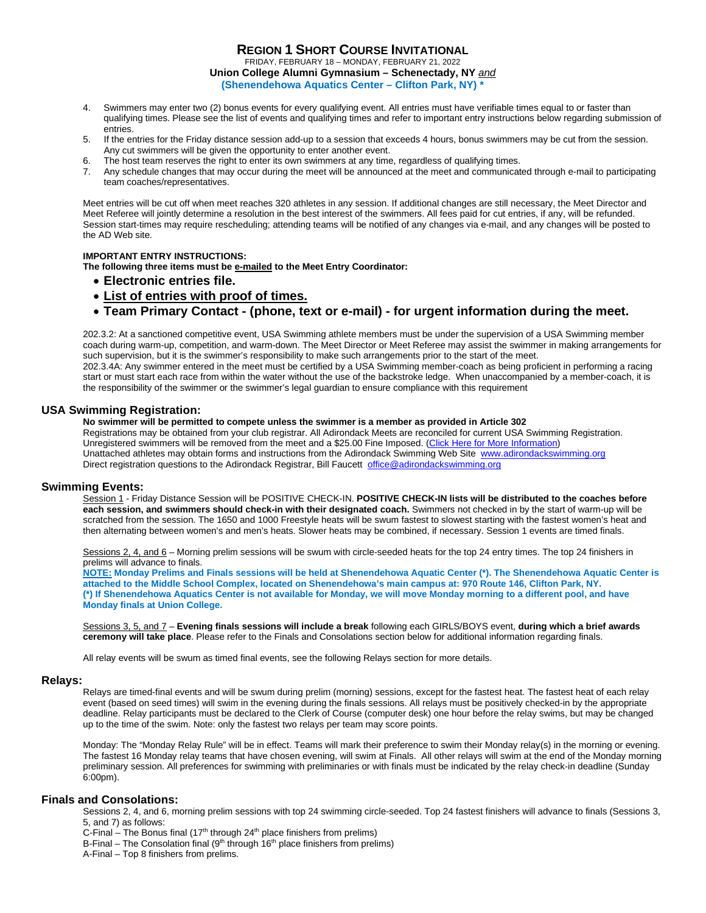FRIDAY, FEBRUARY 18 – MONDAY, FEBRUARY 21, 2022 **Union College Alumni Gymnasium – Schenectady, NY** *and* **(Shenendehowa Aquatics Center – Clifton Park, NY) \***

- 4. Swimmers may enter two (2) bonus events for every qualifying event. All entries must have verifiable times equal to or faster than qualifying times. Please see the list of events and qualifying times and refer to important entry instructions below regarding submission of entries.
- 5. If the entries for the Friday distance session add-up to a session that exceeds 4 hours, bonus swimmers may be cut from the session. Any cut swimmers will be given the opportunity to enter another event.
- The host team reserves the right to enter its own swimmers at any time, regardless of qualifying times.
- 7. Any schedule changes that may occur during the meet will be announced at the meet and communicated through e-mail to participating team coaches/representatives.

Meet entries will be cut off when meet reaches 320 athletes in any session. If additional changes are still necessary, the Meet Director and Meet Referee will jointly determine a resolution in the best interest of the swimmers. All fees paid for cut entries, if any, will be refunded. Session start-times may require rescheduling; attending teams will be notified of any changes via e-mail, and any changes will be posted to the AD Web site.

#### **IMPORTANT ENTRY INSTRUCTIONS:**

**The following three items must be e-mailed to the Meet Entry Coordinator:** 

- **Electronic entries file.**
- **List of entries with proof of times.**
- **Team Primary Contact - (phone, text or e-mail) - for urgent information during the meet.**

202.3.2: At a sanctioned competitive event, USA Swimming athlete members must be under the supervision of a USA Swimming member coach during warm-up, competition, and warm-down. The Meet Director or Meet Referee may assist the swimmer in making arrangements for such supervision, but it is the swimmer's responsibility to make such arrangements prior to the start of the meet. 202.3.4A: Any swimmer entered in the meet must be certified by a USA Swimming member-coach as being proficient in performing a racing start or must start each race from within the water without the use of the backstroke ledge. When unaccompanied by a member-coach, it is the responsibility of the swimmer or the swimmer's legal guardian to ensure compliance with this requirement

#### **USA Swimming Registration:**

**No swimmer will be permitted to compete unless the swimmer is a member as provided in Article 302**

Registrations may be obtained from your club registrar. All Adirondack Meets are reconciled for current USA Swimming Registration. Unregistered swimmers will be removed from the meet and a \$25.00 Fine Imposed. (Click Here for More Information) Unattached athletes may obtain forms and instructions from the Adirondack Swimming Web Site [www.adirondackswimming.org](http://www.adirondackswimming.org/) Direct registration questions to the Adirondack Registrar, Bill Faucett [office@adirondackswimming.org](mailto:office@adirondackswimming.org)

#### **Swimming Events:**

Session 1 - Friday Distance Session will be POSITIVE CHECK-IN. **POSITIVE CHECK-IN lists will be distributed to the coaches before each session, and swimmers should check-in with their designated coach.** Swimmers not checked in by the start of warm-up will be scratched from the session. The 1650 and 1000 Freestyle heats will be swum fastest to slowest starting with the fastest women's heat and then alternating between women's and men's heats. Slower heats may be combined, if necessary. Session 1 events are timed finals.

Sessions 2, 4, and 6 - Morning prelim sessions will be swum with circle-seeded heats for the top 24 entry times. The top 24 finishers in prelims will advance to finals.

**NOTE: Monday Prelims and Finals sessions will be held at Shenendehowa Aquatic Center (\*). The Shenendehowa Aquatic Center is attached to the Middle School Complex, located on Shenendehowa's main campus at: 970 Route 146, Clifton Park, NY. (\*) If Shenendehowa Aquatics Center is not available for Monday, we will move Monday morning to a different pool, and have Monday finals at Union College.**

Sessions 3, 5, and 7 – **Evening finals sessions will include a break** following each GIRLS/BOYS event, **during which a brief awards ceremony will take place**. Please refer to the Finals and Consolations section below for additional information regarding finals.

All relay events will be swum as timed final events, see the following Relays section for more details.

#### **Relays:**

Relays are timed-final events and will be swum during prelim (morning) sessions, except for the fastest heat. The fastest heat of each relay event (based on seed times) will swim in the evening during the finals sessions. All relays must be positively checked-in by the appropriate deadline. Relay participants must be declared to the Clerk of Course (computer desk) one hour before the relay swims, but may be changed up to the time of the swim. Note: only the fastest two relays per team may score points.

Monday: The "Monday Relay Rule" will be in effect. Teams will mark their preference to swim their Monday relay(s) in the morning or evening. The fastest 16 Monday relay teams that have chosen evening, will swim at Finals. All other relays will swim at the end of the Monday morning preliminary session. All preferences for swimming with preliminaries or with finals must be indicated by the relay check-in deadline (Sunday 6:00pm).

#### **Finals and Consolations:**

Sessions 2, 4, and 6, morning prelim sessions with top 24 swimming circle-seeded. Top 24 fastest finishers will advance to finals (Sessions 3, 5, and 7) as follows:

C-Final – The Bonus final (17<sup>th</sup> through 24<sup>th</sup> place finishers from prelims)

B-Final – The Consolation final  $(9<sup>th</sup>$  through 16<sup>th</sup> place finishers from prelims)

A-Final – Top 8 finishers from prelims.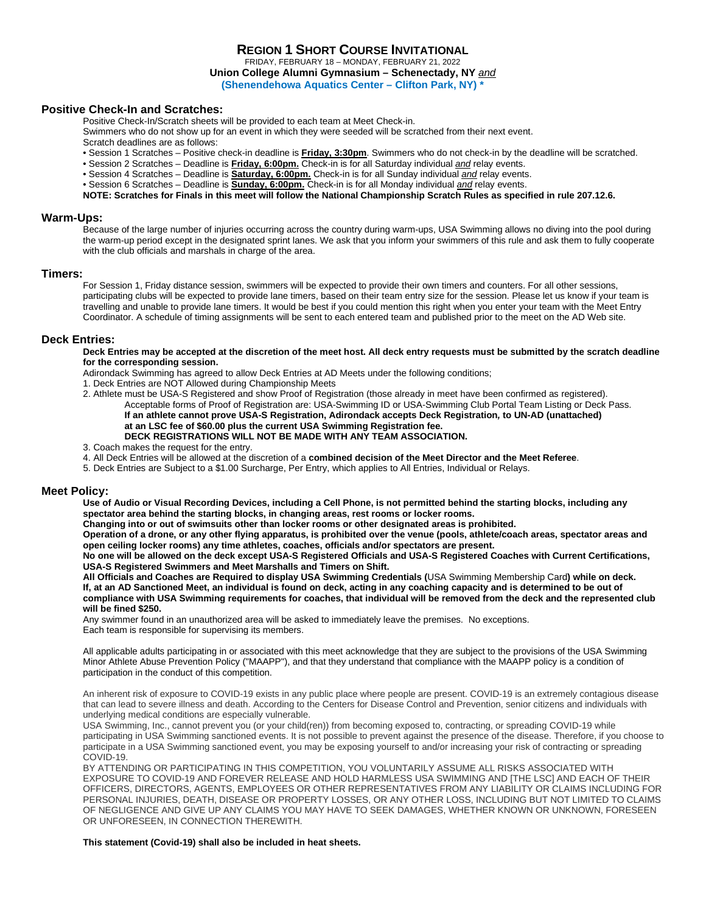FRIDAY, FEBRUARY 18 – MONDAY, FEBRUARY 21, 2022 **Union College Alumni Gymnasium – Schenectady, NY** *and*

**(Shenendehowa Aquatics Center – Clifton Park, NY) \***

#### **Positive Check-In and Scratches:**

Positive Check-In/Scratch sheets will be provided to each team at Meet Check-in. Swimmers who do not show up for an event in which they were seeded will be scratched from their next event. Scratch deadlines are as follows:

- Session 1 Scratches Positive check-in deadline is **Friday, 3:30pm**. Swimmers who do not check-in by the deadline will be scratched.
- Session 2 Scratches Deadline is **Friday, 6:00pm.** Check-in is for all Saturday individual *and* relay events.
- Session 4 Scratches Deadline is **Saturday, 6:00pm.** Check-in is for all Sunday individual *and* relay events.
- Session 6 Scratches Deadline is **Sunday, 6:00pm.** Check-in is for all Monday individual *and* relay events.

**NOTE: Scratches for Finals in this meet will follow the National Championship Scratch Rules as specified in rule 207.12.6.**

#### **Warm-Ups:**

Because of the large number of injuries occurring across the country during warm-ups, USA Swimming allows no diving into the pool during the warm-up period except in the designated sprint lanes. We ask that you inform your swimmers of this rule and ask them to fully cooperate with the club officials and marshals in charge of the area.

#### **Timers:**

For Session 1, Friday distance session, swimmers will be expected to provide their own timers and counters. For all other sessions, participating clubs will be expected to provide lane timers, based on their team entry size for the session. Please let us know if your team is travelling and unable to provide lane timers. It would be best if you could mention this right when you enter your team with the Meet Entry Coordinator. A schedule of timing assignments will be sent to each entered team and published prior to the meet on the AD Web site.

#### **Deck Entries:**

**Deck Entries may be accepted at the discretion of the meet host. All deck entry requests must be submitted by the scratch deadline for the corresponding session.** 

Adirondack Swimming has agreed to allow Deck Entries at AD Meets under the following conditions;

- 1. Deck Entries are NOT Allowed during Championship Meets
- 2. Athlete must be USA-S Registered and show Proof of Registration (those already in meet have been confirmed as registered). Acceptable forms of Proof of Registration are: USA-Swimming ID or USA-Swimming Club Portal Team Listing or Deck Pass. **If an athlete cannot prove USA-S Registration, Adirondack accepts Deck Registration***,* **to UN-AD (unattached) at an LSC fee of \$60.00 plus the current USA Swimming Registration fee. DECK REGISTRATIONS WILL NOT BE MADE WITH ANY TEAM ASSOCIATION.**
- 3. Coach makes the request for the entry.
- 4. All Deck Entries will be allowed at the discretion of a **combined decision of the Meet Director and the Meet Referee**.
- 5. Deck Entries are Subject to a \$1.00 Surcharge, Per Entry, which applies to All Entries, Individual or Relays.

#### **Meet Policy:**

**Use of Audio or Visual Recording Devices, including a Cell Phone, is not permitted behind the starting blocks, including any spectator area behind the starting blocks, in changing areas, rest rooms or locker rooms.**

**Changing into or out of swimsuits other than locker rooms or other designated areas is prohibited.** 

**Operation of a drone, or any other flying apparatus, is prohibited over the venue (pools, athlete/coach areas, spectator areas and open ceiling locker rooms) any time athletes, coaches, officials and/or spectators are present.**

**No one will be allowed on the deck except USA-S Registered Officials and USA-S Registered Coaches with Current Certifications, USA-S Registered Swimmers and Meet Marshalls and Timers on Shift.**

**All Officials and Coaches are Required to display USA Swimming Credentials (**USA Swimming Membership Card**) while on deck. If, at an AD Sanctioned Meet, an individual is found on deck, acting in any coaching capacity and is determined to be out of compliance with USA Swimming requirements for coaches, that individual will be removed from the deck and the represented club will be fined \$250.**

Any swimmer found in an unauthorized area will be asked to immediately leave the premises. No exceptions. Each team is responsible for supervising its members.

All applicable adults participating in or associated with this meet acknowledge that they are subject to the provisions of the USA Swimming Minor Athlete Abuse Prevention Policy ("MAAPP"), and that they understand that compliance with the MAAPP policy is a condition of participation in the conduct of this competition.

An inherent risk of exposure to COVID-19 exists in any public place where people are present. COVID-19 is an extremely contagious disease that can lead to severe illness and death. According to the Centers for Disease Control and Prevention, senior citizens and individuals with underlying medical conditions are especially vulnerable.

USA Swimming, Inc., cannot prevent you (or your child(ren)) from becoming exposed to, contracting, or spreading COVID-19 while participating in USA Swimming sanctioned events. It is not possible to prevent against the presence of the disease. Therefore, if you choose to participate in a USA Swimming sanctioned event, you may be exposing yourself to and/or increasing your risk of contracting or spreading COVID-19.

BY ATTENDING OR PARTICIPATING IN THIS COMPETITION, YOU VOLUNTARILY ASSUME ALL RISKS ASSOCIATED WITH EXPOSURE TO COVID-19 AND FOREVER RELEASE AND HOLD HARMLESS USA SWIMMING AND [THE LSC] AND EACH OF THEIR OFFICERS, DIRECTORS, AGENTS, EMPLOYEES OR OTHER REPRESENTATIVES FROM ANY LIABILITY OR CLAIMS INCLUDING FOR PERSONAL INJURIES, DEATH, DISEASE OR PROPERTY LOSSES, OR ANY OTHER LOSS, INCLUDING BUT NOT LIMITED TO CLAIMS OF NEGLIGENCE AND GIVE UP ANY CLAIMS YOU MAY HAVE TO SEEK DAMAGES, WHETHER KNOWN OR UNKNOWN, FORESEEN OR UNFORESEEN, IN CONNECTION THEREWITH.

#### **This statement (Covid-19) shall also be included in heat sheets.**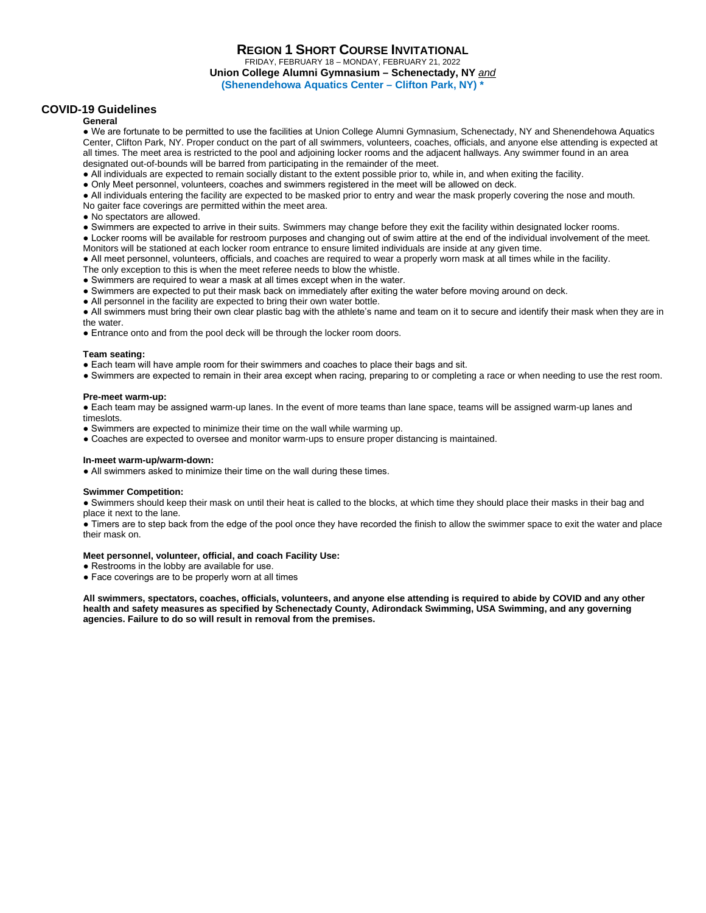#### **REGION 1 SHORT COURSE INVITATIONAL** FRIDAY, FEBRUARY 18 – MONDAY, FEBRUARY 21, 2022 **Union College Alumni Gymnasium – Schenectady, NY** *and* **(Shenendehowa Aquatics Center – Clifton Park, NY) \***

#### **COVID-19 Guidelines**

#### **General**

● We are fortunate to be permitted to use the facilities at Union College Alumni Gymnasium, Schenectady, NY and Shenendehowa Aquatics Center, Clifton Park, NY. Proper conduct on the part of all swimmers, volunteers, coaches, officials, and anyone else attending is expected at all times. The meet area is restricted to the pool and adjoining locker rooms and the adjacent hallways. Any swimmer found in an area designated out-of-bounds will be barred from participating in the remainder of the meet.

- All individuals are expected to remain socially distant to the extent possible prior to, while in, and when exiting the facility.
- Only Meet personnel, volunteers, coaches and swimmers registered in the meet will be allowed on deck.

● All individuals entering the facility are expected to be masked prior to entry and wear the mask properly covering the nose and mouth.

- No gaiter face coverings are permitted within the meet area.
- No spectators are allowed.
- Swimmers are expected to arrive in their suits. Swimmers may change before they exit the facility within designated locker rooms.
- Locker rooms will be available for restroom purposes and changing out of swim attire at the end of the individual involvement of the meet. Monitors will be stationed at each locker room entrance to ensure limited individuals are inside at any given time.
- All meet personnel, volunteers, officials, and coaches are required to wear a properly worn mask at all times while in the facility.
- The only exception to this is when the meet referee needs to blow the whistle.
- Swimmers are required to wear a mask at all times except when in the water.
- Swimmers are expected to put their mask back on immediately after exiting the water before moving around on deck.
- All personnel in the facility are expected to bring their own water bottle.

● All swimmers must bring their own clear plastic bag with the athlete's name and team on it to secure and identify their mask when they are in the water.

• Entrance onto and from the pool deck will be through the locker room doors.

#### **Team seating:**

- Each team will have ample room for their swimmers and coaches to place their bags and sit.
- Swimmers are expected to remain in their area except when racing, preparing to or completing a race or when needing to use the rest room.

#### **Pre-meet warm-up:**

● Each team may be assigned warm-up lanes. In the event of more teams than lane space, teams will be assigned warm-up lanes and timeslots.

- Swimmers are expected to minimize their time on the wall while warming up.
- Coaches are expected to oversee and monitor warm-ups to ensure proper distancing is maintained.

#### **In-meet warm-up/warm-down:**

• All swimmers asked to minimize their time on the wall during these times.

#### **Swimmer Competition:**

● Swimmers should keep their mask on until their heat is called to the blocks, at which time they should place their masks in their bag and place it next to the lane.

● Timers are to step back from the edge of the pool once they have recorded the finish to allow the swimmer space to exit the water and place their mask on.

#### **Meet personnel, volunteer, official, and coach Facility Use:**

- Restrooms in the lobby are available for use.
- Face coverings are to be properly worn at all times

**All swimmers, spectators, coaches, officials, volunteers, and anyone else attending is required to abide by COVID and any other health and safety measures as specified by Schenectady County, Adirondack Swimming, USA Swimming, and any governing agencies. Failure to do so will result in removal from the premises.**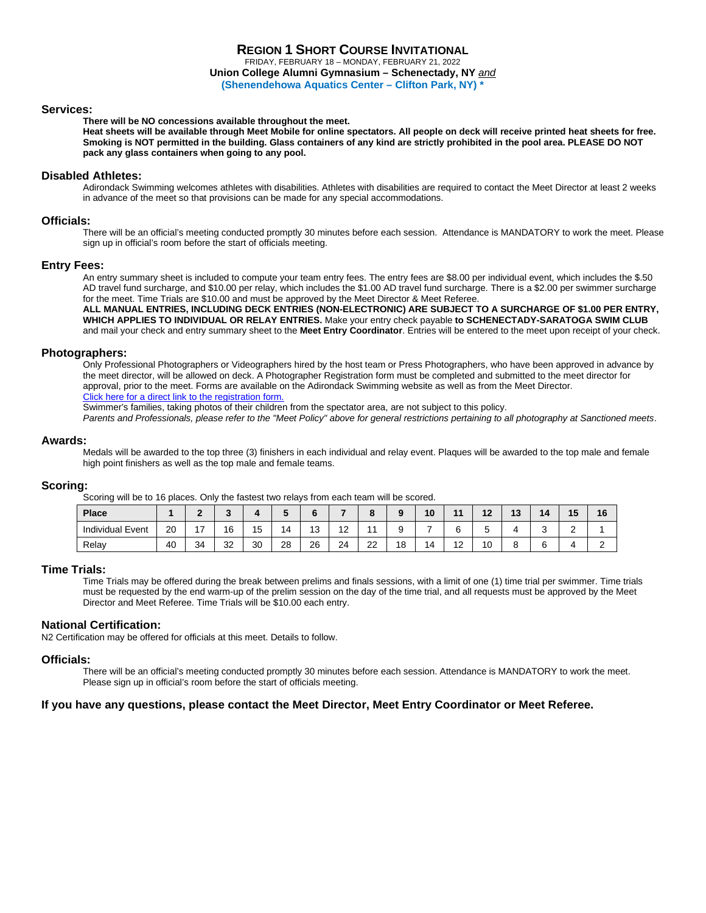FRIDAY, FEBRUARY 18 – MONDAY, FEBRUARY 21, 2022 **Union College Alumni Gymnasium – Schenectady, NY** *and*

**(Shenendehowa Aquatics Center – Clifton Park, NY) \***

#### **Services:**

#### **There will be NO concessions available throughout the meet.**

**Heat sheets will be available through Meet Mobile for online spectators. All people on deck will receive printed heat sheets for free. Smoking is NOT permitted in the building. Glass containers of any kind are strictly prohibited in the pool area. PLEASE DO NOT pack any glass containers when going to any pool.**

#### **Disabled Athletes:**

Adirondack Swimming welcomes athletes with disabilities. Athletes with disabilities are required to contact the Meet Director at least 2 weeks in advance of the meet so that provisions can be made for any special accommodations.

#### **Officials:**

There will be an official's meeting conducted promptly 30 minutes before each session. Attendance is MANDATORY to work the meet. Please sign up in official's room before the start of officials meeting.

#### **Entry Fees:**

An entry summary sheet is included to compute your team entry fees. The entry fees are \$8.00 per individual event, which includes the \$.50 AD travel fund surcharge, and \$10.00 per relay, which includes the \$1.00 AD travel fund surcharge. There is a \$2.00 per swimmer surcharge for the meet. Time Trials are \$10.00 and must be approved by the Meet Director & Meet Referee.

**ALL MANUAL ENTRIES, INCLUDING DECK ENTRIES (NON-ELECTRONIC) ARE SUBJECT TO A SURCHARGE OF \$1.00 PER ENTRY, WHICH APPLIES TO INDIVIDUAL OR RELAY ENTRIES.** Make your entry check payable **to SCHENECTADY-SARATOGA SWIM CLUB**  and mail your check and entry summary sheet to the **Meet Entry Coordinator**. Entries will be entered to the meet upon receipt of your check.

#### **Photographers:**

Only Professional Photographers or Videographers hired by the host team or Press Photographers, who have been approved in advance by the meet director, will be allowed on deck. A Photographer Registration form must be completed and submitted to the meet director for approval, prior to the meet. Forms are available on the Adirondack Swimming website as well as from the Meet Director. Click here for a direct link to the registration form.

Swimmer's families, taking photos of their children from the spectator area, are not subject to this policy.

*Parents and Professionals, please refer to the "Meet Policy" above for general restrictions pertaining to all photography at Sanctioned meets*.

#### **Awards:**

Medals will be awarded to the top three (3) finishers in each individual and relay event. Plaques will be awarded to the top male and female high point finishers as well as the top male and female teams.

#### **Scoring:**

Scoring will be to 16 places. Only the fastest two relays from each team will be scored.

| Place                                        |    |    |    |    |     |               |    |          |    | 10 | $\overline{A}$               | $\overline{1}$<br>. . | 1 V | 14 | . .<br>-- | 16 |
|----------------------------------------------|----|----|----|----|-----|---------------|----|----------|----|----|------------------------------|-----------------------|-----|----|-----------|----|
| $\overline{\phantom{0}}$<br>Individual Event | 20 | -  | 16 | 15 | ∣∠⊥ | $\sim$<br>ں ا | ▵  |          |    |    |                              |                       |     |    | -         |    |
| Relay                                        | 40 | 34 | 32 | 30 | 28  | 26            | 24 | nn<br>∠∠ | 18 | ∣∠ | $\overline{ }$<br>. <u>.</u> | 10                    |     |    |           |    |

#### **Time Trials:**

Time Trials may be offered during the break between prelims and finals sessions, with a limit of one (1) time trial per swimmer. Time trials must be requested by the end warm-up of the prelim session on the day of the time trial, and all requests must be approved by the Meet Director and Meet Referee. Time Trials will be \$10.00 each entry.

#### **National Certification:**

N2 Certification may be offered for officials at this meet. Details to follow.

#### **Officials:**

There will be an official's meeting conducted promptly 30 minutes before each session. Attendance is MANDATORY to work the meet. Please sign up in official's room before the start of officials meeting.

#### **If you have any questions, please contact the Meet Director, Meet Entry Coordinator or Meet Referee.**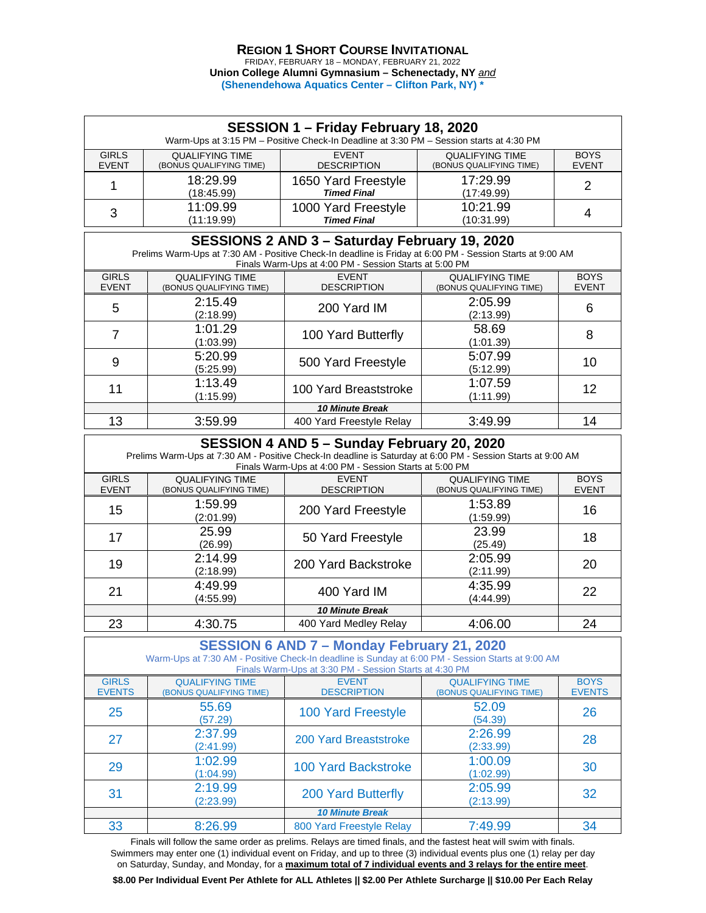#### **REGION 1 SHORT COURSE INVITATIONAL** FRIDAY, FEBRUARY 18 – MONDAY, FEBRUARY 21, 2022

**Union College Alumni Gymnasium – Schenectady, NY** *and* **(Shenendehowa Aquatics Center – Clifton Park, NY) \***

| SESSION 1 - Friday February 18, 2020<br>Warm-Ups at 3:15 PM - Positive Check-In Deadline at 3:30 PM - Session starts at 4:30 PM |                                                   |                                           |                                                   |                             |  |  |  |
|---------------------------------------------------------------------------------------------------------------------------------|---------------------------------------------------|-------------------------------------------|---------------------------------------------------|-----------------------------|--|--|--|
| <b>GIRLS</b><br><b>EVENT</b>                                                                                                    | <b>QUALIFYING TIME</b><br>(BONUS QUALIFYING TIME) | <b>FVFNT</b><br><b>DESCRIPTION</b>        | <b>QUALIFYING TIME</b><br>(BONUS QUALIFYING TIME) | <b>BOYS</b><br><b>EVENT</b> |  |  |  |
|                                                                                                                                 | 18:29.99<br>(18:45.99)                            | 1650 Yard Freestyle<br><b>Timed Final</b> | 17:29.99<br>(17:49.99)                            | 2                           |  |  |  |
| 10:21.99<br>11:09.99<br>1000 Yard Freestyle<br>3<br><b>Timed Final</b><br>(11:19.99)<br>(10:31.99)                              |                                                   |                                           |                                                   |                             |  |  |  |
| <b>CECCIONIC Q AND Q</b><br>$R_{\text{atm}}$ ay Eshruan: 10, 2020                                                               |                                                   |                                           |                                                   |                             |  |  |  |

| SESSIONS 2 AND 3 – Saturday February 19, 2020                                                             |
|-----------------------------------------------------------------------------------------------------------|
| Prelims Warm-Ups at 7:30 AM - Positive Check-In deadline is Friday at 6:00 PM - Session Starts at 9:00 AM |
| Finals Warm-Uns at 4:00 PM - Session Starts at 5:00 PM                                                    |

| $\frac{1}{2}$ . The contract the contract of the contract of $\frac{1}{2}$ . The contract of $\frac{1}{2}$ is a contract of $\frac{1}{2}$ |                                                   |                                    |                                                   |                             |  |
|-------------------------------------------------------------------------------------------------------------------------------------------|---------------------------------------------------|------------------------------------|---------------------------------------------------|-----------------------------|--|
| <b>GIRLS</b><br><b>EVENT</b>                                                                                                              | <b>QUALIFYING TIME</b><br>(BONUS QUALIFYING TIME) | <b>EVENT</b><br><b>DESCRIPTION</b> | <b>QUALIFYING TIME</b><br>(BONUS QUALIFYING TIME) | <b>BOYS</b><br><b>EVENT</b> |  |
| 5                                                                                                                                         | 2:15.49<br>(2:18.99)                              | 200 Yard IM                        | 2:05.99<br>(2:13.99)                              | 6                           |  |
| 7                                                                                                                                         | 1:01.29<br>(1:03.99)                              | 100 Yard Butterfly                 | 58.69<br>(1:01.39)                                | 8                           |  |
| 9                                                                                                                                         | 5:20.99<br>(5:25.99)                              | 500 Yard Freestyle                 | 5:07.99<br>(5:12.99)                              | 10                          |  |
| 11                                                                                                                                        | 1:13.49<br>(1:15.99)                              | 100 Yard Breaststroke              | 1:07.59<br>(1:11.99)                              | 12                          |  |
|                                                                                                                                           |                                                   | <b>10 Minute Break</b>             |                                                   |                             |  |
| 13                                                                                                                                        | 3:59.99                                           | 400 Yard Freestyle Relay           | 3:49.99                                           | 14                          |  |

# **SESSION 4 AND 5 – Sunday February 20, 2020**

| Prelims Warm-Ups at 7:30 AM - Positive Check-In deadline is Saturday at 6:00 PM - Session Starts at 9:00 AM<br>Finals Warm-Ups at 4:00 PM - Session Starts at 5:00 PM |                                                   |                                    |                                                   |                             |  |
|-----------------------------------------------------------------------------------------------------------------------------------------------------------------------|---------------------------------------------------|------------------------------------|---------------------------------------------------|-----------------------------|--|
| <b>GIRLS</b><br><b>EVENT</b>                                                                                                                                          | <b>QUALIFYING TIME</b><br>(BONUS QUALIFYING TIME) | <b>EVENT</b><br><b>DESCRIPTION</b> | <b>QUALIFYING TIME</b><br>(BONUS QUALIFYING TIME) | <b>BOYS</b><br><b>EVENT</b> |  |
| 15                                                                                                                                                                    | 1:59.99<br>(2:01.99)                              | 200 Yard Freestyle                 | 1:53.89<br>(1:59.99)                              | 16                          |  |
| 17                                                                                                                                                                    | 25.99<br>(26.99)                                  | 50 Yard Freestyle                  | 23.99<br>(25.49)                                  | 18                          |  |
| 19                                                                                                                                                                    | 2:14.99<br>(2:18.99)                              | 200 Yard Backstroke                | 2:05.99<br>(2:11.99)                              | 20                          |  |
| 21                                                                                                                                                                    | 4:49.99<br>(4:55.99)                              | 400 Yard IM                        | 4:35.99<br>(4:44.99)                              | 22                          |  |
|                                                                                                                                                                       |                                                   | <b>10 Minute Break</b>             |                                                   |                             |  |
| 23                                                                                                                                                                    | 4:30.75                                           | 400 Yard Medley Relay              | 4:06.00                                           | 24                          |  |

# **SESSION 6 AND 7 – Monday February 21, 2020** Warm-Ups at 7:30 AM - Positive Check-In deadline is Sunday at 6:00 PM - Session Starts at 9:00 AM

| Finals Warm-Ups at 3:30 PM - Session Starts at 4:30 PM |                                                   |                                    |                                                   |                              |  |
|--------------------------------------------------------|---------------------------------------------------|------------------------------------|---------------------------------------------------|------------------------------|--|
| <b>GIRLS</b><br><b>EVENTS</b>                          | <b>QUALIFYING TIME</b><br>(BONUS QUALIFYING TIME) | <b>EVENT</b><br><b>DESCRIPTION</b> | <b>QUALIFYING TIME</b><br>(BONUS QUALIFYING TIME) | <b>BOYS</b><br><b>EVENTS</b> |  |
| 25                                                     | 55.69<br>(57.29)                                  | 100 Yard Freestyle                 | 52.09<br>(54.39)                                  | 26                           |  |
| 27                                                     | 2:37.99<br>(2:41.99)                              | 200 Yard Breaststroke              | 2:26.99<br>(2:33.99)                              | 28                           |  |
| 29                                                     | 1:02.99<br>(1:04.99)                              | <b>100 Yard Backstroke</b>         | 1:00.09<br>(1:02.99)                              | 30                           |  |
| 31                                                     | 2:19.99<br>(2:23.99)                              | 200 Yard Butterfly                 | 2:05.99<br>(2:13.99)                              | 32                           |  |
|                                                        |                                                   | <b>10 Minute Break</b>             |                                                   |                              |  |
| 33                                                     | 8:26.99                                           | 800 Yard Freestyle Relay           | 7:49.99                                           | 34                           |  |

Finals will follow the same order as prelims. Relays are timed finals, and the fastest heat will swim with finals. Swimmers may enter one (1) individual event on Friday, and up to three (3) individual events plus one (1) relay per day on Saturday, Sunday, and Monday, for a **maximum total of 7 individual events and 3 relays for the entire meet**.